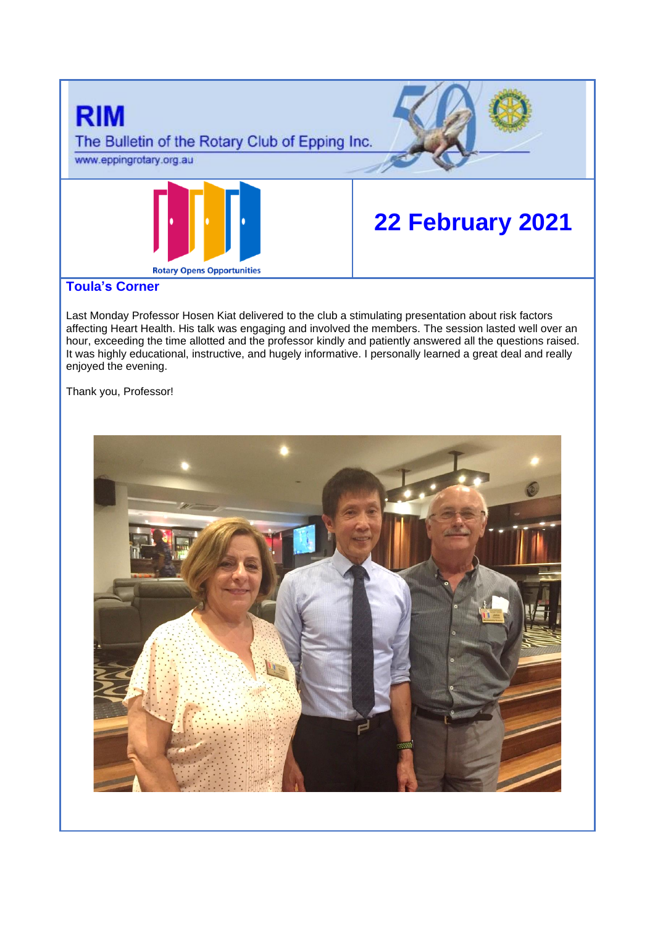

# **Toula's Corner**

Last Monday Professor Hosen Kiat delivered to the club a stimulating presentation about risk factors affecting Heart Health. His talk was engaging and involved the members. The session lasted well over an hour, exceeding the time allotted and the professor kindly and patiently answered all the questions raised. It was highly educational, instructive, and hugely informative. I personally learned a great deal and really enjoyed the evening.

Thank you, Professor!

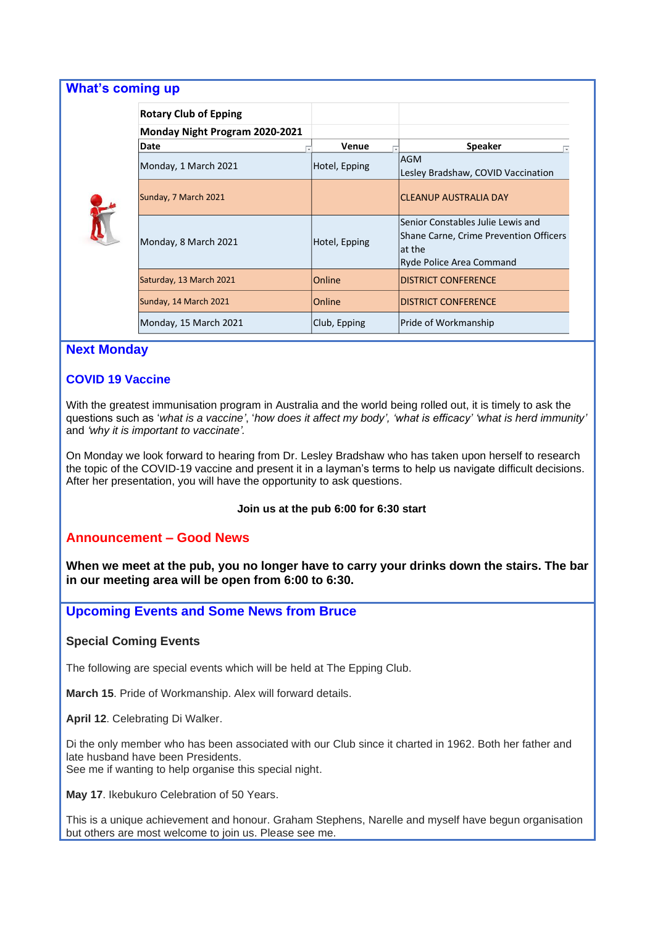| <b>What's coming up</b>               |               |                                                                                                                    |
|---------------------------------------|---------------|--------------------------------------------------------------------------------------------------------------------|
| <b>Rotary Club of Epping</b>          |               |                                                                                                                    |
| <b>Monday Night Program 2020-2021</b> |               |                                                                                                                    |
| Date                                  | Venue         | <b>Speaker</b>                                                                                                     |
| Monday, 1 March 2021                  | Hotel, Epping | <b>AGM</b><br>Lesley Bradshaw, COVID Vaccination                                                                   |
| Sunday, 7 March 2021                  |               | <b>CLEANUP AUSTRALIA DAY</b>                                                                                       |
| Monday, 8 March 2021                  | Hotel, Epping | Senior Constables Julie Lewis and<br>Shane Carne, Crime Prevention Officers<br>lat the<br>Ryde Police Area Command |
| Saturday, 13 March 2021               | Online        | <b>DISTRICT CONFERENCE</b>                                                                                         |
| Sunday, 14 March 2021                 | Online        | <b>DISTRICT CONFERENCE</b>                                                                                         |
| Monday, 15 March 2021                 | Club, Epping  | Pride of Workmanship                                                                                               |

## **Next Monday**

# **COVID 19 Vaccine**

With the greatest immunisation program in Australia and the world being rolled out, it is timely to ask the questions such as '*what is a vaccine'*, '*how does it affect my body', 'what is efficacy' 'what is herd immunity'* and *'why it is important to vaccinate'.*

On Monday we look forward to hearing from Dr. Lesley Bradshaw who has taken upon herself to research the topic of the COVID-19 vaccine and present it in a layman's terms to help us navigate difficult decisions. After her presentation, you will have the opportunity to ask questions.

### **Join us at the pub 6:00 for 6:30 start**

## **Announcement – Good News**

**When we meet at the pub, you no longer have to carry your drinks down the stairs. The bar in our meeting area will be open from 6:00 to 6:30.** 

## **Upcoming Events and Some News from Bruce**

### **Special Coming Events**

The following are special events which will be held at The Epping Club.

**March 15**. Pride of Workmanship. Alex will forward details.

**April 12**. Celebrating Di Walker.

Di the only member who has been associated with our Club since it charted in 1962. Both her father and late husband have been Presidents.

See me if wanting to help organise this special night.

**May 17**. Ikebukuro Celebration of 50 Years.

This is a unique achievement and honour. Graham Stephens, Narelle and myself have begun organisation but others are most welcome to join us. Please see me.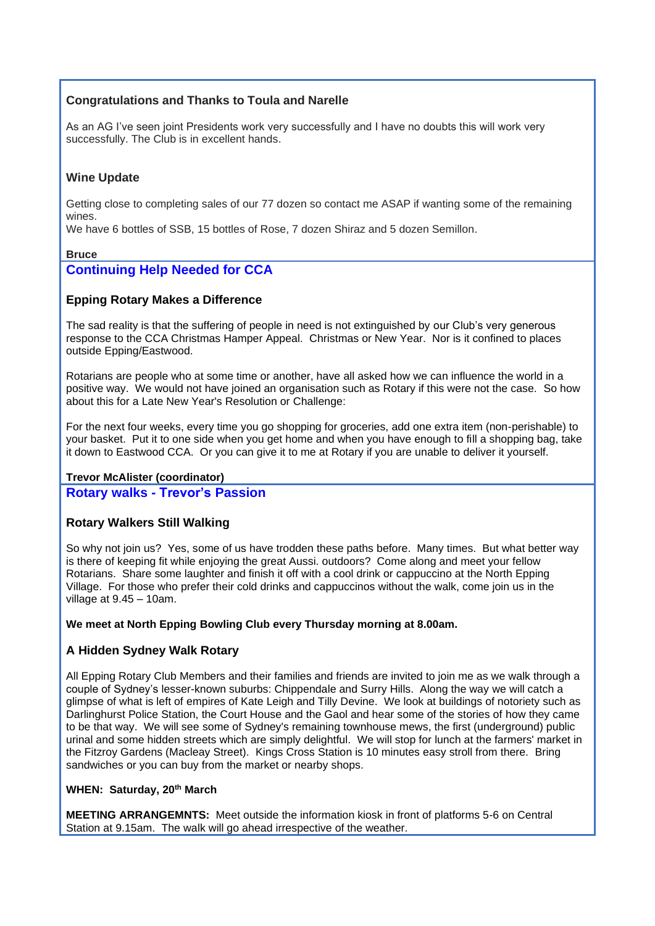# **Congratulations and Thanks to Toula and Narelle**

As an AG I've seen joint Presidents work very successfully and I have no doubts this will work very successfully. The Club is in excellent hands.

## **Wine Update**

Getting close to completing sales of our 77 dozen so contact me ASAP if wanting some of the remaining wines.

We have 6 bottles of SSB, 15 bottles of Rose, 7 dozen Shiraz and 5 dozen Semillon.

#### **Bruce**

## **Continuing Help Needed for CCA**

## **Epping Rotary Makes a Difference**

The sad reality is that the suffering of people in need is not extinguished by our Club's very generous response to the CCA Christmas Hamper Appeal. Christmas or New Year. Nor is it confined to places outside Epping/Eastwood.

Rotarians are people who at some time or another, have all asked how we can influence the world in a positive way. We would not have joined an organisation such as Rotary if this were not the case. So how about this for a Late New Year's Resolution or Challenge:

For the next four weeks, every time you go shopping for groceries, add one extra item (non-perishable) to your basket. Put it to one side when you get home and when you have enough to fill a shopping bag, take it down to Eastwood CCA. Or you can give it to me at Rotary if you are unable to deliver it yourself.

### **Trevor McAlister (coordinator)**

**Rotary walks - Trevor's Passion**

### **Rotary Walkers Still Walking**

So why not join us? Yes, some of us have trodden these paths before. Many times. But what better way is there of keeping fit while enjoying the great Aussi. outdoors? Come along and meet your fellow Rotarians. Share some laughter and finish it off with a cool drink or cappuccino at the North Epping Village. For those who prefer their cold drinks and cappuccinos without the walk, come join us in the village at 9.45 – 10am.

#### **We meet at North Epping Bowling Club every Thursday morning at 8.00am.**

### **A Hidden Sydney Walk Rotary**

All Epping Rotary Club Members and their families and friends are invited to join me as we walk through a couple of Sydney's lesser-known suburbs: Chippendale and Surry Hills. Along the way we will catch a glimpse of what is left of empires of Kate Leigh and Tilly Devine. We look at buildings of notoriety such as Darlinghurst Police Station, the Court House and the Gaol and hear some of the stories of how they came to be that way. We will see some of Sydney's remaining townhouse mews, the first (underground) public urinal and some hidden streets which are simply delightful. We will stop for lunch at the farmers' market in the Fitzroy Gardens (Macleay Street). Kings Cross Station is 10 minutes easy stroll from there. Bring sandwiches or you can buy from the market or nearby shops.

### **WHEN: Saturday, 20th March**

**MEETING ARRANGEMNTS:** Meet outside the information kiosk in front of platforms 5-6 on Central Station at 9.15am. The walk will go ahead irrespective of the weather.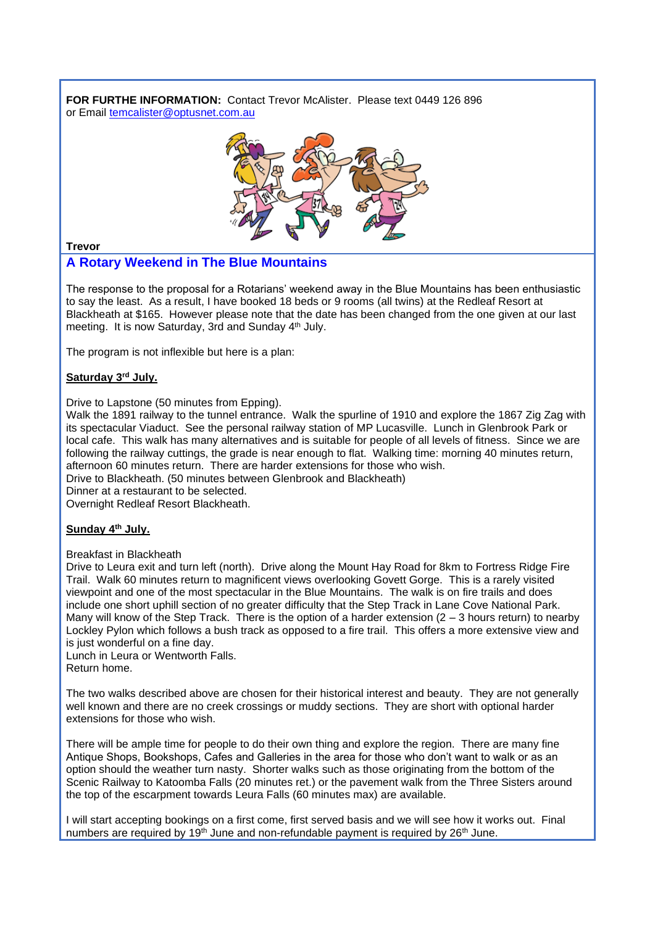**FOR FURTHE INFORMATION:** Contact Trevor McAlister. Please text 0449 126 896 or Email [temcalister@optusnet.com.au](mailto:temcalister@optusnet.com.au)



**Trevor**

# **A Rotary Weekend in The Blue Mountains**

The response to the proposal for a Rotarians' weekend away in the Blue Mountains has been enthusiastic to say the least. As a result, I have booked 18 beds or 9 rooms (all twins) at the Redleaf Resort at Blackheath at \$165. However please note that the date has been changed from the one given at our last meeting. It is now Saturday, 3rd and Sunday 4<sup>th</sup> July.

The program is not inflexible but here is a plan:

### **Saturday 3rd July.**

Drive to Lapstone (50 minutes from Epping).

Walk the 1891 railway to the tunnel entrance. Walk the spurline of 1910 and explore the 1867 Zig Zag with its spectacular Viaduct. See the personal railway station of MP Lucasville. Lunch in Glenbrook Park or local cafe. This walk has many alternatives and is suitable for people of all levels of fitness. Since we are following the railway cuttings, the grade is near enough to flat. Walking time: morning 40 minutes return, afternoon 60 minutes return. There are harder extensions for those who wish. Drive to Blackheath. (50 minutes between Glenbrook and Blackheath)

Dinner at a restaurant to be selected.

Overnight Redleaf Resort Blackheath.

### **Sunday 4th July.**

#### Breakfast in Blackheath

Drive to Leura exit and turn left (north). Drive along the Mount Hay Road for 8km to Fortress Ridge Fire Trail. Walk 60 minutes return to magnificent views overlooking Govett Gorge. This is a rarely visited viewpoint and one of the most spectacular in the Blue Mountains. The walk is on fire trails and does include one short uphill section of no greater difficulty that the Step Track in Lane Cove National Park. Many will know of the Step Track. There is the option of a harder extension  $(2 - 3$  hours return) to nearby Lockley Pylon which follows a bush track as opposed to a fire trail. This offers a more extensive view and is just wonderful on a fine day.

Lunch in Leura or Wentworth Falls. Return home.

The two walks described above are chosen for their historical interest and beauty. They are not generally well known and there are no creek crossings or muddy sections. They are short with optional harder extensions for those who wish.

There will be ample time for people to do their own thing and explore the region. There are many fine Antique Shops, Bookshops, Cafes and Galleries in the area for those who don't want to walk or as an option should the weather turn nasty. Shorter walks such as those originating from the bottom of the Scenic Railway to Katoomba Falls (20 minutes ret.) or the pavement walk from the Three Sisters around the top of the escarpment towards Leura Falls (60 minutes max) are available.

I will start accepting bookings on a first come, first served basis and we will see how it works out. Final numbers are required by 19<sup>th</sup> June and non-refundable payment is required by 26<sup>th</sup> June.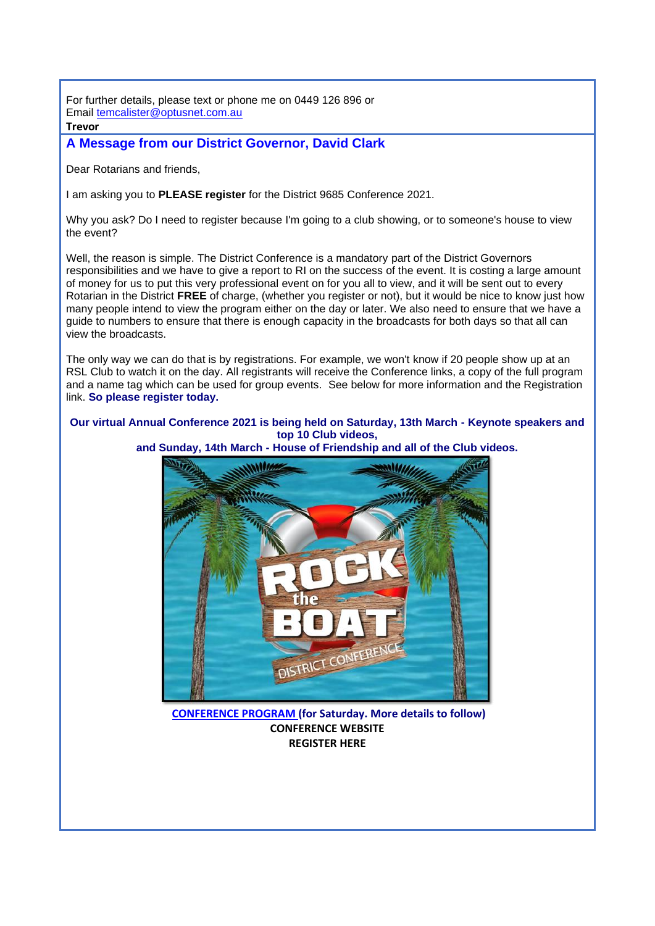For further details, please text or phone me on 0449 126 896 or Email [temcalister@optusnet.com.au](mailto:temcalister@optusnet.com.au)

#### **Trevor**

# **A Message from our District Governor, David Clark**

Dear Rotarians and friends,

I am asking you to **PLEASE register** for the District 9685 Conference 2021.

Why you ask? Do I need to register because I'm going to a club showing, or to someone's house to view the event?

Well, the reason is simple. The District Conference is a mandatory part of the District Governors responsibilities and we have to give a report to RI on the success of the event. It is costing a large amount of money for us to put this very professional event on for you all to view, and it will be sent out to every Rotarian in the District **FREE** of charge, (whether you register or not), but it would be nice to know just how many people intend to view the program either on the day or later. We also need to ensure that we have a guide to numbers to ensure that there is enough capacity in the broadcasts for both days so that all can view the broadcasts.

The only way we can do that is by registrations. For example, we won't know if 20 people show up at an RSL Club to watch it on the day. All registrants will receive the Conference links, a copy of the full program and a name tag which can be used for group events. See below for more information and the Registration link. **So please register today.** 

## **Our virtual Annual Conference 2021 is being held on Saturday, 13th March - Keynote speakers and top 10 Club videos,**



**and Sunday, 14th March - House of Friendship and all of the Club videos.**

**[CONFERENCE PROGRAM](https://apac01.safelinks.protection.outlook.com/?url=https%3A%2F%2Fportal.clubrunner.ca%2F50081%2FDocuments%2Fen-au%2Fa2164ca3-8621-4e1c-8565-86f79f8055f6%2F1%2F&data=04%7C01%7C%7C50fa8a830305450b089408d8d6c60708%7C84df9e7fe9f640afb435aaaaaaaaaaaa%7C1%7C0%7C637495493294566663%7CUnknown%7CTWFpbGZsb3d8eyJWIjoiMC4wLjAwMDAiLCJQIjoiV2luMzIiLCJBTiI6Ik1haWwiLCJXVCI6Mn0%3D%7C1000&sdata=rkMtx5s6fSeTlIqnho3WSCL7D3QFjnYJiYwFv0nqjVo%3D&reserved=0) (for Saturday. More details to follow) [CONFERENCE WEBSITE](https://apac01.safelinks.protection.outlook.com/?url=https%3A%2F%2Fwww.district9685conference2021.com%2F&data=04%7C01%7C%7C50fa8a830305450b089408d8d6c60708%7C84df9e7fe9f640afb435aaaaaaaaaaaa%7C1%7C0%7C637495493294576656%7CUnknown%7CTWFpbGZsb3d8eyJWIjoiMC4wLjAwMDAiLCJQIjoiV2luMzIiLCJBTiI6Ik1haWwiLCJXVCI6Mn0%3D%7C1000&sdata=mr3uEgvM80UWnp%2Bges8SJlAlzq8DH9G%2FF58XjtHWev0%3D&reserved=0) [REGISTER HERE](https://apac01.safelinks.protection.outlook.com/?url=https%3A%2F%2Fwww.crsadmin.com%2FEventPortal%2FRegistrations%2FPublicFill%2FEventPublicFill.aspx%3Fevtid%3Dd3656b40-52ee-4293-9942-b19d6df5956f&data=04%7C01%7C%7C50fa8a830305450b089408d8d6c60708%7C84df9e7fe9f640afb435aaaaaaaaaaaa%7C1%7C0%7C637495493294586651%7CUnknown%7CTWFpbGZsb3d8eyJWIjoiMC4wLjAwMDAiLCJQIjoiV2luMzIiLCJBTiI6Ik1haWwiLCJXVCI6Mn0%3D%7C1000&sdata=IXriUvHCuQSndtcVBfYVHsmnnS0TbDoudyopOmyM6TQ%3D&reserved=0)**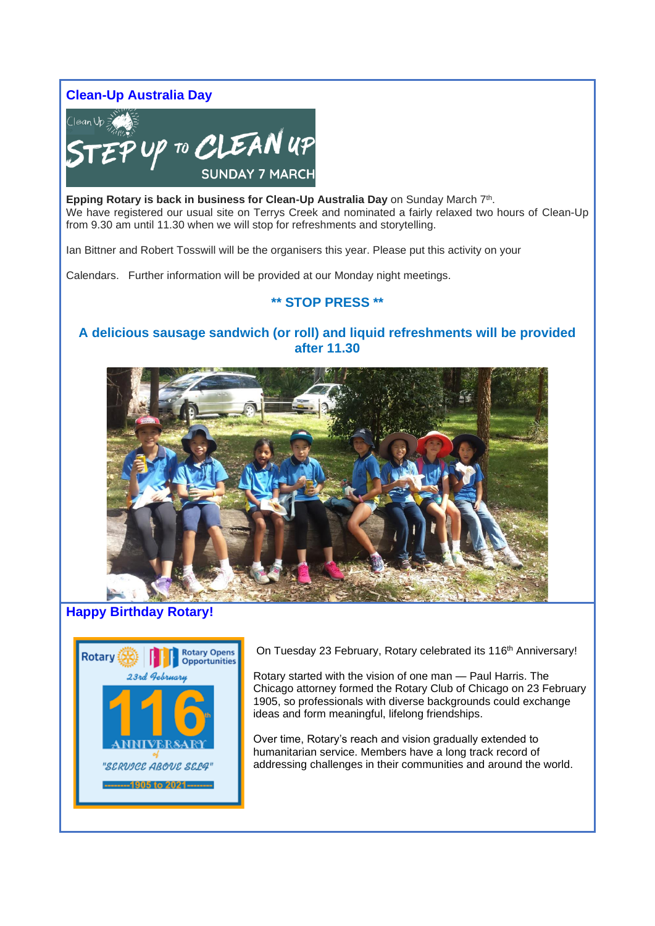**Clean-Up Australia Day**



**Epping Rotary is back in business for Clean-Up Australia Day** on Sunday March 7<sup>th</sup>. We have registered our usual site on Terrys Creek and nominated a fairly relaxed two hours of Clean-Up from 9.30 am until 11.30 when we will stop for refreshments and storytelling.

Ian Bittner and Robert Tosswill will be the organisers this year. Please put this activity on your

Calendars. Further information will be provided at our Monday night meetings.

# **\*\* STOP PRESS \*\***

# **A delicious sausage sandwich (or roll) and liquid refreshments will be provided after 11.30**



# **Happy Birthday Rotary!**



On Tuesday 23 February, Rotary celebrated its 116<sup>th</sup> Anniversary!

Rotary started with the vision of one man — Paul Harris. The Chicago attorney formed the Rotary Club of Chicago on 23 February 1905, so professionals with diverse backgrounds could exchange ideas and form meaningful, lifelong friendships.

Over time, Rotary's reach and vision gradually extended to humanitarian service. Members have a long track record of addressing challenges in their communities and around the world.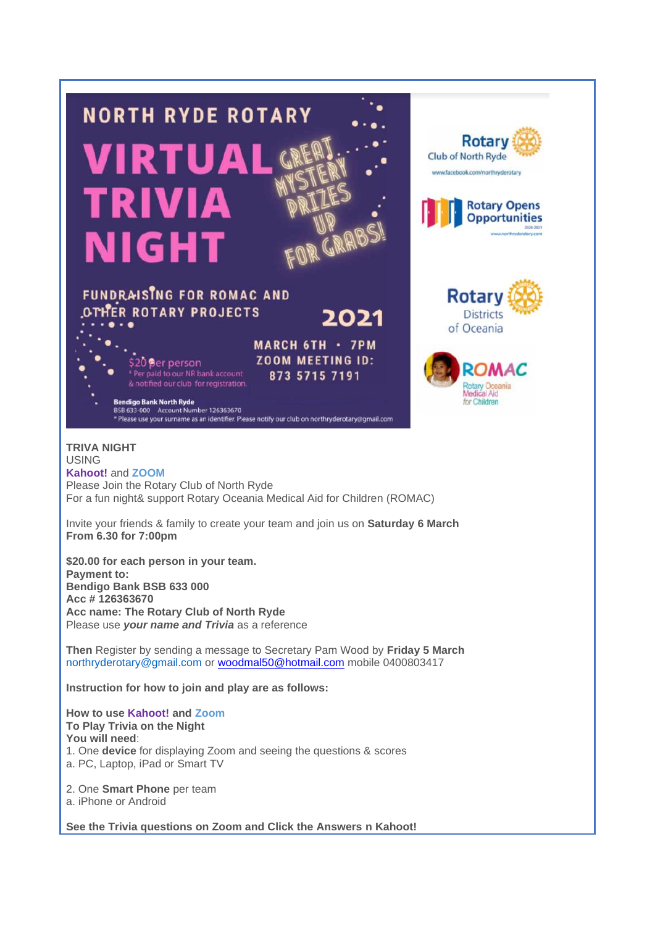